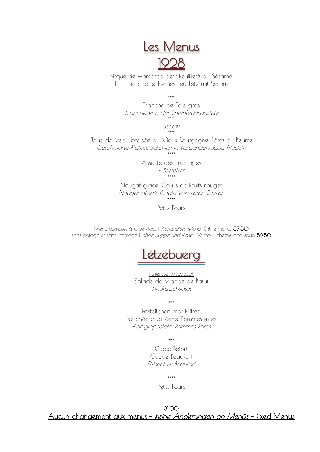

Bisque de Homards, petit Feuilleté au Sésame Hummerbisque, kleines Feuilleté mit Sesam

\*\*\*\*

Tranche de Foie gras Tranche von der Entenleberpastete \*\*\*\*

> Sorbet \*\*\*\*

Joue de Veau braisée au Vieux Bourgogne, Pâtes au Beurre Geschmorte Kalbsbäckchen in Burgundersauce, Nudeln

\*\*\*\* Assiette des Fromages Käseteller \*\*\*\*

Nougat glacé, Coulis de Fruits rouges Nougat glacé, Coulis von roten Beeren \*\*\*\*

Petits Fours

Menu complet à 6 services | Komplettes Menul Entire menu: 57,50 sans potage et sans fromage | ohne Suppe und Käse | Without cheese and soup 52,50



Féierstengszaloot Salade de Viande de Bœuf Rindfleischsalat

\*\*\*

Pasteitchen mat Fritten Bouchée à la Reine, Pommes frites Königinpastete, Pommes Frites

\*\*\*

Glace Befort Coupe Beaufort Eisbecher Beaufort

\*\*\*\*

Petits Fours

31,00 Aucun changement aux menus – keine Änderungen an Menüs – fixed Menus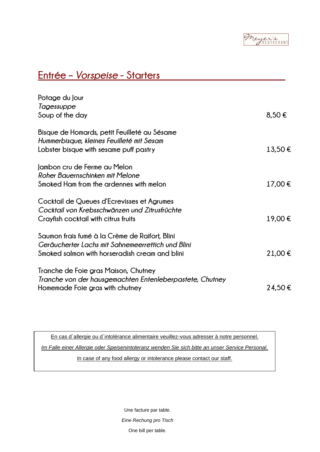Meyer's

### **Entrée –** *Vorspeise* **- Starters**

| Potage du Jour<br>Tagessuppe<br>Soup of the day                                                                                                       | $8,50 \in$  |
|-------------------------------------------------------------------------------------------------------------------------------------------------------|-------------|
| Bisque de Homards, petit Feuilleté au Sésame<br>Hummerbisque, kleines Feuilleté mit Sesam<br>Lobster bisque with sesame puff pastry                   | $13,50 \in$ |
| Jambon cru de Ferme au Melon<br>Roher Bauernschinken mit Melone<br>Smoked Ham from the ardennes with melon                                            | 17,00 €     |
| Cocktail de Queues d'Ecrevisses et Agrumes<br>Cocktail von Krebsschwänzen und Zitrusfrüchte<br>Crayfish cocktail with citrus fruits                   | 19,00 €     |
| Saumon frais fumé à la Crème de Raifort, Blini<br>Geräucherter Lachs mit Sahnemeerrettich und Blini<br>Smoked salmon with horseradish cream and blini | 21,00€      |
| Tranche de Foie gras Maison, Chutney<br>Tranche von der hausgemachten Entenleberpastete, Chutney<br>Homemade Foie gras with chutney                   | 24,50€      |
|                                                                                                                                                       |             |

En cas d´allergie ou d´intolérance alimentaire veuillez-vous adresser à notre personnel.

*Im Falle einer Allergie oder Speisenintoleranz wenden Sie sich bitte an unser Service Personal.*

In case of any food allergy or intolerance please contact our staff.

Une facture par table. *Eine Rechung pro Tisch* One bill per table.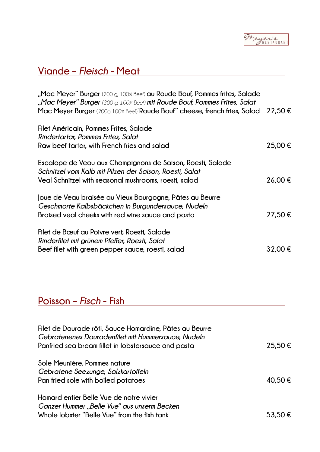## **Viande –** *Fleisch* **- Meat**

| "Mac Meyer" Burger (200 g, 100% Beef) au Roude Bouf, Pommes frites, Salade<br>"Mac Meyer" Burger (200 g, 100% Beef) mit Roude Bouf, Pommes Frites, Salat<br>Mac Meyer Burger (200 <sub>9</sub> 100% Beef)"Roude Bouf" cheese, french fries, Salad 22,50 $\epsilon$ |         |
|--------------------------------------------------------------------------------------------------------------------------------------------------------------------------------------------------------------------------------------------------------------------|---------|
| Filet Américain, Pommes Frites, Salade<br>Rindertartar, Pommes Frites, Salat<br>Raw beef tartar, with French fries and salad                                                                                                                                       | 25,00 € |
| Escalope de Veau aux Champignons de Saison, Roesti, Salade<br>Schnitzel vom Kalb mit Pilzen der Saison, Roesti, Salat<br>Veal Schnitzel with seasonal mushrooms, roesti, salad                                                                                     | 26,00€  |
| Joue de Veau braisée au Vieux Bourgogne, Pâtes au Beurre<br>Geschmorte Kalbsbäckchen in Burgundersauce, Nudeln<br>Braised veal cheeks with red wine sauce and pasta                                                                                                | 27,50€  |
| Filet de Bœuf au Poivre vert, Roesti, Salade<br>Rinderfilet mit grünem Pfeffer, Roesti, Salat<br>Beef filet with green pepper sauce, roesti, salad                                                                                                                 | 32,00€  |

# **Poisson –** *Fisch* **- Fish**

| Filet de Daurade rôti, Sauce Homardine, Pâtes au Beurre<br>Gebratenenes Dauradenfilet mit Hummersauce, Nudeln<br>Panfried sea bream fillet in lobstersauce and pasta | 25,50€  |
|----------------------------------------------------------------------------------------------------------------------------------------------------------------------|---------|
| Sole Meunière, Pommes nature<br>Gebratene Seezunge, Salzkartoffeln<br>Pan fried sole with boiled potatoes                                                            | 40.50 € |
| Homard entier Belle Vue de notre vivier<br>Ganzer Hummer "Belle Vue" aus unserm Becken<br>Whole lobster "Belle Vue" from the fish tank                               | 53,5    |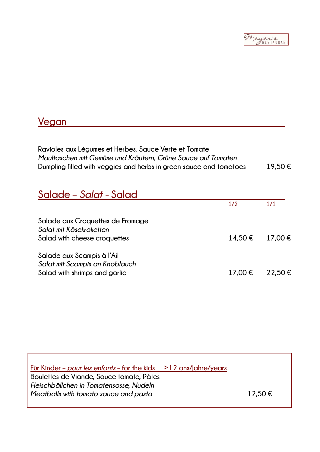

### **Vegan**

**Ravioles aux Légumes et Herbes, Sauce Verte et Tomate** *Maultaschen mit Gemüse und Kräutern, Grüne Sauce auf Tomaten*  **Dumpling filled with veggies and herbs in green sauce and tomatoes 19,50 €**

| Salade – Salat - Salad                                                                        |         |             |
|-----------------------------------------------------------------------------------------------|---------|-------------|
|                                                                                               | 1/2     | 1/1         |
| Salade aux Croquettes de Fromage<br>Salat mit Käsekroketten<br>Salad with cheese croquettes   | 14.50 € | $17.00 \in$ |
| Salade aux Scampis à l'Ail<br>Salat mit Scampis an Knoblauch<br>Salad with shrimps and garlic | 17,00 € | 22.50 €     |

**Für Kinder –** *pour les enfants* **– for the kids >12 ans/Jahre/years Boulettes de Viande, Sauce tomate, Pâtes** *Fleischbällchen in Tomatensosse, Nudeln Meatballs with tomato sauce and pasta* **12,50 €**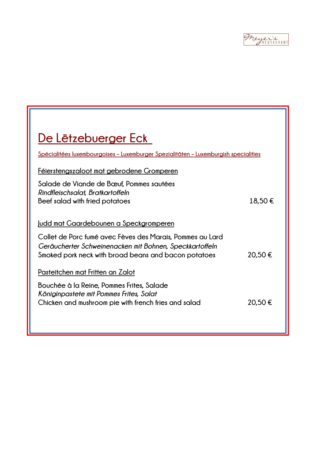Meyer's

| De Lëtzebuerger Eck                                                                  |  |  |
|--------------------------------------------------------------------------------------|--|--|
| Spécialitées luxembourgoises - Luxemburger Spezialitäten - Luxemburgish specialities |  |  |
|                                                                                      |  |  |
|                                                                                      |  |  |
| 18,50€                                                                               |  |  |
|                                                                                      |  |  |
|                                                                                      |  |  |
| 20.50€                                                                               |  |  |
|                                                                                      |  |  |
|                                                                                      |  |  |
| 20.50€                                                                               |  |  |
|                                                                                      |  |  |
|                                                                                      |  |  |